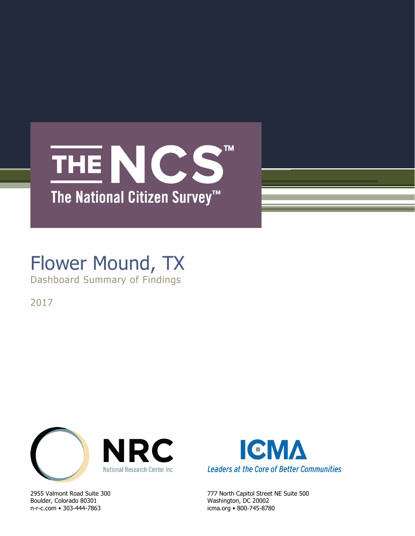## **TM** THE NCS The National Citizen Survey<sup>™</sup>

# Flower Mound, TX

Dashboard Summary of Findings

2017



Boulder, Colorado 80301 Washington, DC 20002 n-r-c.com • 303-444-7863 icma.org • 800-745-8780



2955 Valmont Road Suite 300 777 North Capitol Street NE Suite 500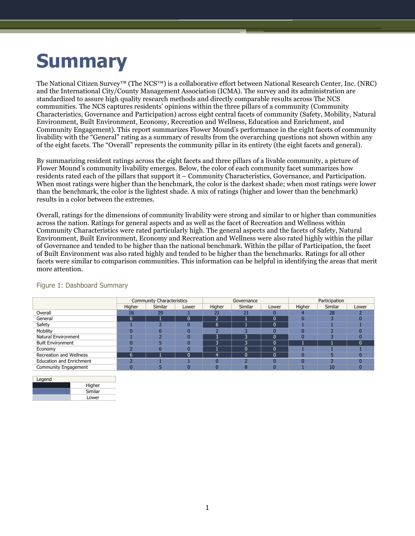# **Summary**

The National Citizen Survey™ (The NCS™) is a collaborative effort between National Research Center, Inc. (NRC) and the International City/County Management Association (ICMA). The survey and its administration are standardized to assure high quality research methods and directly comparable results across The NCS communities. The NCS captures residents' opinions within the three pillars of a community (Community Characteristics, Governance and Participation) across eight central facets of community (Safety, Mobility, Natural Environment, Built Environment, Economy, Recreation and Wellness, Education and Enrichment, and Community Engagement). This report summarizes Flower Mound's performance in the eight facets of community livability with the "General" rating as a summary of results from the overarching questions not shown within any of the eight facets. The "Overall" represents the community pillar in its entirety (the eight facets and general).

By summarizing resident ratings across the eight facets and three pillars of a livable community, a picture of Flower Mound's community livability emerges. Below, the color of each community facet summarizes how residents rated each of the pillars that support it – Community Characteristics, Governance, and Participation. When most ratings were higher than the benchmark, the color is the darkest shade; when most ratings were lower than the benchmark, the color is the lightest shade. A mix of ratings (higher and lower than the benchmark) results in a color between the extremes.

Overall, ratings for the dimensions of community livability were strong and similar to or higher than communities across the nation. Ratings for general aspects and as well as the facet of Recreation and Wellness within Community Characteristics were rated particularly high. The general aspects and the facets of Safety, Natural Environment, Built Environment, Economy and Recreation and Wellness were also rated highly within the pillar of Governance and tended to be higher than the national benchmark. Within the pillar of Participation, the facet of Built Environment was also rated highly and tended to be higher than the benchmarks. Ratings for all other facets were similar to comparison communities. This information can be helpful in identifying the areas that merit more attention.

|                                 |        | <b>Community Characteristics</b> |       |                        | Governance |       | Participation |         |              |  |
|---------------------------------|--------|----------------------------------|-------|------------------------|------------|-------|---------------|---------|--------------|--|
|                                 | Higher | Similar                          | Lower | Higher                 | Similar    | Lower | Higher        | Similar | Lower        |  |
| Overall                         | 18     | 29                               |       | 21                     | 21         |       |               | 28      |              |  |
| General                         | 6      |                                  | 0     | $\overline{2}$         |            |       |               |         | 0            |  |
| Safety                          |        |                                  |       | 6                      |            |       |               |         |              |  |
| Mobility                        |        |                                  |       |                        |            |       |               |         |              |  |
| <b>Natural Environment</b>      |        |                                  |       | $\mathbf{\mathcal{P}}$ | Ð          |       |               |         |              |  |
| <b>Built Environment</b>        |        |                                  |       | $\mathbf{\mathcal{P}}$ | n          |       |               |         | $\sqrt{ }$   |  |
| Economy                         |        | n                                |       |                        |            |       |               |         |              |  |
| Recreation and Wellness         | h      |                                  | በ     | 4                      |            |       |               |         |              |  |
| <b>Education and Enrichment</b> |        |                                  |       |                        |            |       |               |         |              |  |
| Community Engagement            | O      |                                  |       | $\mathbf{0}$           | 8          |       |               | 10      | $\mathbf{0}$ |  |

#### Figure 1: Dashboard Summary

| Higher  |
|---------|
| Similar |
| Lower   |
|         |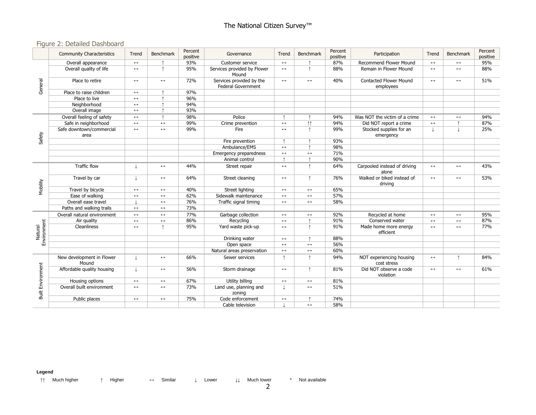### Figure 2: Detailed Dashboard

|                          | <b>Community Characteristics</b>   | Trend                 | Benchmark             | Percent<br>positive | Governance                                            | Trend                 | Benchmark             | Percent<br>positive | Participation                              | Trend                 | <b>Benchmark</b>      | Percent<br>positive |
|--------------------------|------------------------------------|-----------------------|-----------------------|---------------------|-------------------------------------------------------|-----------------------|-----------------------|---------------------|--------------------------------------------|-----------------------|-----------------------|---------------------|
| General                  | Overall appearance                 | $\longleftrightarrow$ |                       | 93%                 | Customer service                                      | $\leftrightarrow$     |                       | 87%                 | <b>Recommend Flower Mound</b>              | $\leftrightarrow$     | $\longleftrightarrow$ | 95%                 |
|                          | Overall quality of life            | $\leftrightarrow$     | $\uparrow$            | 95%                 | Services provided by Flower<br>Mound                  | $\leftrightarrow$     | $\uparrow$            | 88%                 | Remain in Flower Mound                     | $\leftrightarrow$     | $\leftrightarrow$     | 88%                 |
|                          | Place to retire                    | $\leftrightarrow$     | $\longleftrightarrow$ | 72%                 | Services provided by the<br><b>Federal Government</b> | $\longleftrightarrow$ | $\leftrightarrow$     | 40%                 | <b>Contacted Flower Mound</b><br>employees | $\leftrightarrow$     | $\longleftrightarrow$ | 51%                 |
|                          | Place to raise children            | $\longleftrightarrow$ | $\uparrow$            | 97%                 |                                                       |                       |                       |                     |                                            |                       |                       |                     |
|                          | Place to live                      | $\leftrightarrow$     |                       | 96%                 |                                                       |                       |                       |                     |                                            |                       |                       |                     |
|                          | Neighborhood                       | $\longleftrightarrow$ |                       | 94%                 |                                                       |                       |                       |                     |                                            |                       |                       |                     |
|                          | Overall image                      | $\leftrightarrow$     |                       | 93%                 |                                                       |                       |                       |                     |                                            |                       |                       |                     |
|                          | Overall feeling of safety          | $\leftrightarrow$     | $\uparrow$            | 98%                 | Police                                                | $\uparrow$            |                       | 94%                 | Was NOT the victim of a crime              | $\leftrightarrow$     | $\leftrightarrow$     | 94%                 |
|                          | Safe in neighborhood               | $\leftrightarrow$     | $\leftrightarrow$     | 99%                 | Crime prevention                                      | $\longleftrightarrow$ | $\uparrow \uparrow$   | 94%                 | Did NOT report a crime                     | $\leftrightarrow$     |                       | 87%                 |
|                          | Safe downtown/commercial<br>area   | $\leftrightarrow$     | $\leftrightarrow$     | 99%                 | Fire                                                  | $\longleftrightarrow$ | $\uparrow$            | 99%                 | Stocked supplies for an<br>emergency       |                       |                       | 25%                 |
| Safety                   |                                    |                       |                       |                     | Fire prevention                                       | $\uparrow$            |                       | 93%                 |                                            |                       |                       |                     |
|                          |                                    |                       |                       |                     | Ambulance/EMS                                         | $\leftrightarrow$     | $\uparrow$            | 98%                 |                                            |                       |                       |                     |
|                          |                                    |                       |                       |                     | Emergency preparedness                                | $\longleftrightarrow$ | $\leftrightarrow$     | 71%                 |                                            |                       |                       |                     |
|                          |                                    |                       |                       |                     | Animal control                                        | $\uparrow$            |                       | 90%                 |                                            |                       |                       |                     |
| Mobility                 | <b>Traffic flow</b>                |                       | $\leftrightarrow$     | 44%                 | Street repair                                         | $\leftrightarrow$     | $\uparrow$            | 64%                 | Carpooled instead of driving<br>alone      | $\leftrightarrow$     | $\leftrightarrow$     | 43%                 |
|                          | Travel by car                      | L                     | $\longleftrightarrow$ | 64%                 | Street cleaning                                       | $\longleftrightarrow$ | $\uparrow$            | 76%                 | Walked or biked instead of<br>drivina      | $\leftrightarrow$     | $\longleftrightarrow$ | 53%                 |
|                          | Travel by bicycle                  | $\leftrightarrow$     | $\leftrightarrow$     | 40%                 | Street lighting                                       | $\leftrightarrow$     | $\leftrightarrow$     | 65%                 |                                            |                       |                       |                     |
|                          | Ease of walking                    | $\leftrightarrow$     | $\leftrightarrow$     | 62%                 | Sidewalk maintenance                                  | $\leftrightarrow$     | $\leftrightarrow$     | 57%                 |                                            |                       |                       |                     |
|                          | Overall ease travel                |                       | $\longleftrightarrow$ | 76%                 | Traffic signal timing                                 | $\leftrightarrow$     | $\leftrightarrow$     | 58%                 |                                            |                       |                       |                     |
|                          | Paths and walking trails           | $\longleftrightarrow$ | $\longleftrightarrow$ | 73%                 |                                                       |                       |                       |                     |                                            |                       |                       |                     |
|                          | Overall natural environment        | $\leftrightarrow$     | $\leftrightarrow$     | 77%                 | Garbage collection                                    | $\leftrightarrow$     | $\leftrightarrow$     | 92%                 | Recycled at home                           | $\longleftrightarrow$ | $\longleftrightarrow$ | 95%                 |
|                          | Air quality                        | $\leftrightarrow$     | $\leftrightarrow$     | 86%                 | Recycling                                             | $\leftrightarrow$     |                       | 91%                 | Conserved water                            | $\leftrightarrow$     | $\leftrightarrow$     | 87%                 |
| Environment<br>Natural   | Cleanliness                        | $\leftrightarrow$     | $\uparrow$            | 95%                 | Yard waste pick-up                                    | $\leftrightarrow$     | $\uparrow$            | 91%                 | Made home more energy<br>efficient         | $\leftrightarrow$     | $\leftrightarrow$     | 77%                 |
|                          |                                    |                       |                       |                     | Drinking water                                        | $\leftrightarrow$     |                       | 88%                 |                                            |                       |                       |                     |
|                          |                                    |                       |                       |                     | Open space                                            | $\leftrightarrow$     | $\leftrightarrow$     | 56%                 |                                            |                       |                       |                     |
|                          |                                    |                       |                       |                     | Natural areas preservation                            | $\longleftrightarrow$ | $\leftrightarrow$     | 60%                 |                                            |                       |                       |                     |
| <b>Built Environment</b> | New development in Flower<br>Mound | T                     | $\leftrightarrow$     | 66%                 | Sewer services                                        | $\uparrow$            | $\uparrow$            | 94%                 | NOT experiencing housing<br>cost stress    | $\leftrightarrow$     | $\uparrow$            | 84%                 |
|                          | Affordable quality housing         |                       | $\longleftrightarrow$ | 56%                 | Storm drainage                                        | $\longleftrightarrow$ | $\uparrow$            | 81%                 | Did NOT observe a code<br>violation        | $\leftrightarrow$     | $\longleftrightarrow$ | 61%                 |
|                          | Housing options                    | $\leftrightarrow$     | $\longleftrightarrow$ | 67%                 | Utility billing                                       | $\leftrightarrow$     | $\longleftrightarrow$ | 81%                 |                                            |                       |                       |                     |
|                          | Overall built environment          | $\longleftrightarrow$ | $\longleftrightarrow$ | 73%                 | Land use, planning and<br>zoning                      | T                     | $\leftrightarrow$     | 51%                 |                                            |                       |                       |                     |
|                          | Public places                      | $\longleftrightarrow$ | $\longleftrightarrow$ | 75%                 | Code enforcement                                      | $\longleftrightarrow$ |                       | 74%                 |                                            |                       |                       |                     |
|                          |                                    |                       |                       |                     | Cable television                                      |                       | $\leftrightarrow$     | 58%                 |                                            |                       |                       |                     |

**Legend**

↑↑ Much higher ↑ Higher ↔ Similar ↓ Lower ↓↓ Much lower \* Not available